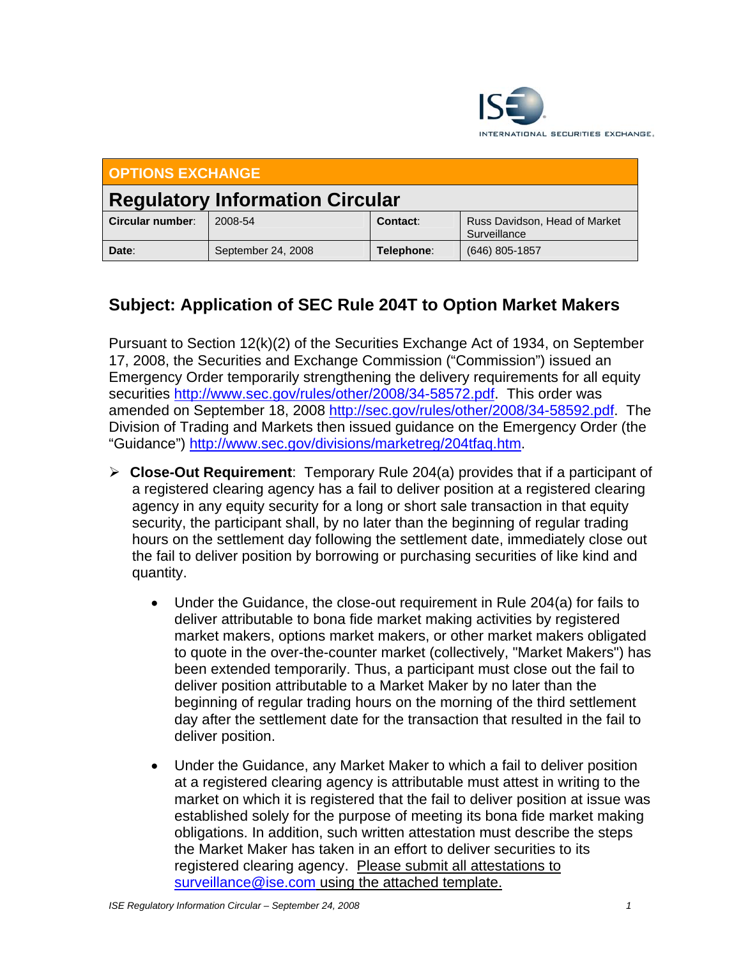

| <b>OPTIONS EXCHANGE</b>                |                    |            |                                               |
|----------------------------------------|--------------------|------------|-----------------------------------------------|
| <b>Regulatory Information Circular</b> |                    |            |                                               |
| Circular number:                       | 2008-54            | Contact:   | Russ Davidson, Head of Market<br>Surveillance |
| Date:                                  | September 24, 2008 | Telephone: | $(646)$ 805-1857                              |

## **Subject: Application of SEC Rule 204T to Option Market Makers**

Pursuant to Section 12(k)(2) of the Securities Exchange Act of 1934, on September 17, 2008, the Securities and Exchange Commission ("Commission") issued an Emergency Order temporarily strengthening the delivery requirements for all equity securities http://www.sec.gov/rules/other/2008/34-58572.pdf. This order was amended on September 18, 2008 http://sec.gov/rules/other/2008/34-58592.pdf. The Division of Trading and Markets then issued guidance on the Emergency Order (the "Guidance") http://www.sec.gov/divisions/marketreg/204tfaq.htm.

- ¾ **Close-Out Requirement**: Temporary Rule 204(a) provides that if a participant of a registered clearing agency has a fail to deliver position at a registered clearing agency in any equity security for a long or short sale transaction in that equity security, the participant shall, by no later than the beginning of regular trading hours on the settlement day following the settlement date, immediately close out the fail to deliver position by borrowing or purchasing securities of like kind and quantity.
	- Under the Guidance, the close-out requirement in Rule 204(a) for fails to deliver attributable to bona fide market making activities by registered market makers, options market makers, or other market makers obligated to quote in the over-the-counter market (collectively, "Market Makers") has been extended temporarily. Thus, a participant must close out the fail to deliver position attributable to a Market Maker by no later than the beginning of regular trading hours on the morning of the third settlement day after the settlement date for the transaction that resulted in the fail to deliver position.
	- Under the Guidance, any Market Maker to which a fail to deliver position at a registered clearing agency is attributable must attest in writing to the market on which it is registered that the fail to deliver position at issue was established solely for the purpose of meeting its bona fide market making obligations. In addition, such written attestation must describe the steps the Market Maker has taken in an effort to deliver securities to its registered clearing agency. Please submit all attestations to surveillance@ise.com using the attached template.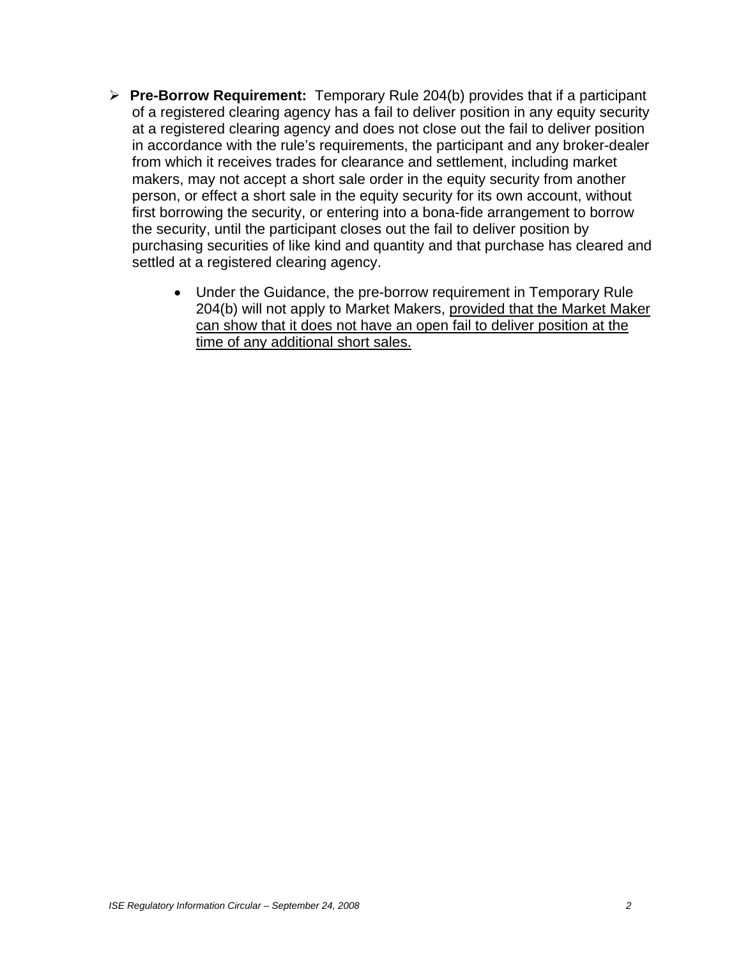- ¾ **Pre-Borrow Requirement:** Temporary Rule 204(b) provides that if a participant of a registered clearing agency has a fail to deliver position in any equity security at a registered clearing agency and does not close out the fail to deliver position in accordance with the rule's requirements, the participant and any broker-dealer from which it receives trades for clearance and settlement, including market makers, may not accept a short sale order in the equity security from another person, or effect a short sale in the equity security for its own account, without first borrowing the security, or entering into a bona-fide arrangement to borrow the security, until the participant closes out the fail to deliver position by purchasing securities of like kind and quantity and that purchase has cleared and settled at a registered clearing agency.
	- Under the Guidance, the pre-borrow requirement in Temporary Rule 204(b) will not apply to Market Makers, provided that the Market Maker can show that it does not have an open fail to deliver position at the time of any additional short sales.